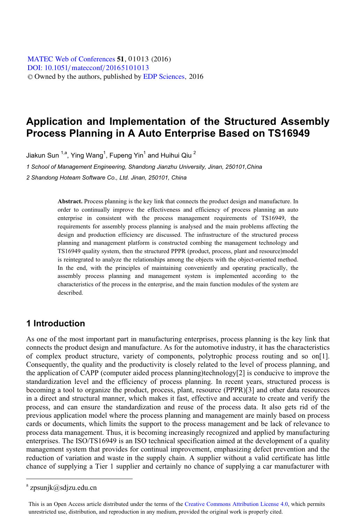[DOI: 10.1051](http://dx.doi.org/10.1051/matecconf/20165101013)/matecconf/20165101013 © Owned by the authors, published by [EDP Sciences](http://www.edpsciences.org), 2016 MATEC [Web of Conferences](http://www.matec-conferences.org) 51, 01013 (2016)

# **Application and Implementation of the Structured Assembly Process Planning in A Auto Enterprise Based on TS16949**

Jiakun Sun  $^{1,a}$ , Ying Wang $^1$ , Fupeng Yin $^1$  and Huihui Qiu  $^2$ 

*1 School of Management Engineering, Shandong Jianzhu University, Jinan, 250101,China 2 Shandong Hoteam Software Co., Ltd. Jinan, 250101, China* 

> **Abstract.** Process planning is the key link that connects the product design and manufacture. In order to continually improve the effectiveness and efficiency of process planning an auto enterprise in consistent with the process management requirements of TS16949, the requirements for assembly process planning is analysed and the main problems affecting the design and production efficiency are discussed. The infrastructure of the structured process planning and management platform is constructed combing the management technology and TS16949 quality system, then the structured PPPR (product, process, plant and resource)model is reintegrated to analyze the relationships among the objects with the object-oriented method. In the end, with the principles of maintaining conveniently and operating practically, the assembly process planning and management system is implemented according to the characteristics of the process in the enterprise, and the main function modules of the system are described.

### **1 Introduction**

As one of the most important part in manufacturing enterprises, process planning is the key link that connects the product design and manufacture. As for the automotive industry, it has the characteristics of complex product structure, variety of components, polytrophic process routing and so on[1]. Consequently, the quality and the productivity is closely related to the level of process planning, and the application of CAPP (computer aided process planning)technology[2] is conducive to improve the standardization level and the efficiency of process planning. In recent years, structured process is becoming a tool to organize the product, process, plant, resource (PPPR)[3] and other data resources in a direct and structural manner, which makes it fast, effective and accurate to create and verify the process, and can ensure the standardization and reuse of the process data. It also gets rid of the previous application model where the process planning and management are mainly based on process cards or documents, which limits the support to the process management and be lack of relevance to process data management. Thus, it is becoming increasingly recognized and applied by manufacturing enterprises. The ISO/TS16949 is an ISO technical specification aimed at the development of a quality management system that provides for continual improvement, emphasizing defect prevention and the reduction of variation and waste in the supply chain. A supplier without a valid certificate has little chance of supplying a Tier 1 supplier and certainly no chance of supplying a car manufacturer with

 $\overline{a}$ 

a zpsunjk@sdjzu.edu.cn

This is an Open Access article distributed under the terms of the Creative Commons Attribution License 4.0, which permits unrestricted use, distribution, and reproduction in any medium, provided the original work is properly cited.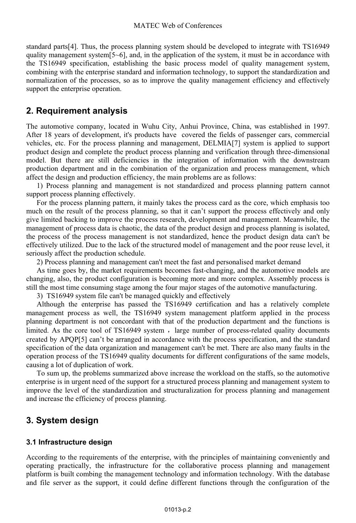standard parts[4]. Thus, the process planning system should be developed to integrate with TS16949 quality management system[5~6], and, in the application of the system, it must be in accordance with the TS16949 specification, establishing the basic process model of quality management system, combining with the enterprise standard and information technology, to support the standardization and normalization of the processes, so as to improve the quality management efficiency and effectively support the enterprise operation.

## **2. Requirement analysis**

The automotive company, located in Wuhu City, Anhui Province, China, was established in 1997. After 18 years of development, it's products have covered the fields of passenger cars, commercial vehicles, etc. For the process planning and management, DELMIA[7] system is applied to support product design and complete the product process planning and verification through three-dimensional model. But there are still deficiencies in the integration of information with the downstream production department and in the combination of the organization and process management, which affect the design and production efficiency, the main problems are as follows:

1) Process planning and management is not standardized and process planning pattern cannot support process planning effectively.

For the process planning pattern, it mainly takes the process card as the core, which emphasis too much on the result of the process planning, so that it can't support the process effectively and only give limited backing to improve the process research, development and management. Meanwhile, the management of process data is chaotic, the data of the product design and process planning is isolated, the process of the process management is not standardized, hence the product design data can't be effectively utilized. Due to the lack of the structured model of management and the poor reuse level, it seriously affect the production schedule.

2) Process planning and management can't meet the fast and personalised market demand

As time goes by, the market requirements becomes fast-changing, and the automotive models are changing, also, the product configuration is becoming more and more complex. Assembly process is still the most time consuming stage among the four major stages of the automotive manufacturing.

3) TS16949 system file can't be managed quickly and effectively

Although the enterprise has passed the TS16949 certification and has a relatively complete management process as well, the TS16949 system management platform applied in the process planning department is not concordant with that of the production department and the functions is limited. As the core tool of  $TS16949$  system, large number of process-related quality documents created by APQP[5] can't be arranged in accordance with the process specification, and the standard specification of the data organization and management can't be met. There are also many faults in the operation process of the TS16949 quality documents for different configurations of the same models, causing a lot of duplication of work.

To sum up, the problems summarized above increase the workload on the staffs, so the automotive enterprise is in urgent need of the support for a structured process planning and management system to improve the level of the standardization and structuralization for process planning and management and increase the efficiency of process planning.

# **3. System design**

### **3.1 Infrastructure design**

According to the requirements of the enterprise, with the principles of maintaining conveniently and operating practically, the infrastructure for the collaborative process planning and management platform is built combing the management technology and information technology. With the database and file server as the support, it could define different functions through the configuration of the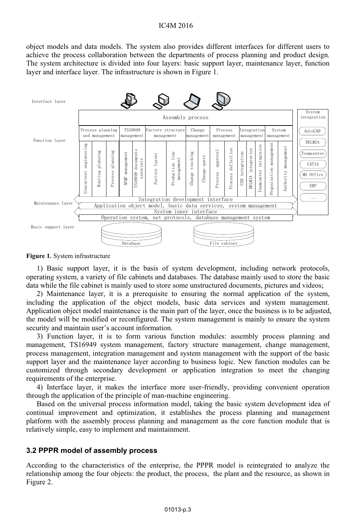#### IC4M 2016

object models and data models. The system also provides different interfaces for different users to achieve the process collaboration between the departments of process planning and product design. The system architecture is divided into four layers: basic support layer, maintenance layer, function layer and interface layer. The infrastructure is shown in Figure 1.



**Figure 1.** System infrastructure

1) Basic support layer, it is the basis of system development, including network protocols, operating system, a variety of file cabinets and databases. The database mainly used to store the basic data while the file cabinet is mainly used to store some unstructured documents, pictures and videos;

2) Maintenance layer, it is a prerequisite to ensuring the normal application of the system, including the application of the object models, basic data services and system management. Application object model maintenance is the main part of the layer, once the business is to be adjusted, the model will be modified or reconfigured. The system management is mainly to ensure the system security and maintain user's account information.

3) Function layer, it is to form various function modules: assembly process planning and management, TS16949 system management, factory structure management, change management, process management, integration management and system management with the support of the basic support layer and the maintenance layer according to business logic. New function modules can be customized through secondary development or application integration to meet the changing requirements of the enterprise.

4) Interface layer, it makes the interface more user-friendly, providing convenient operation through the application of the principle of man-machine engineering.

Based on the universal process information model, taking the basic system development idea of continual improvement and optimization, it establishes the process planning and management platform with the assembly process planning and management as the core function module that is relatively simple, easy to implement and maintainment.

#### **3.2 PPPR model of assembly process**

According to the characteristics of the enterprise, the PPPR model is reintegrated to analyze the relationship among the four objects: the product, the process, the plant and the resource, as shown in Figure 2.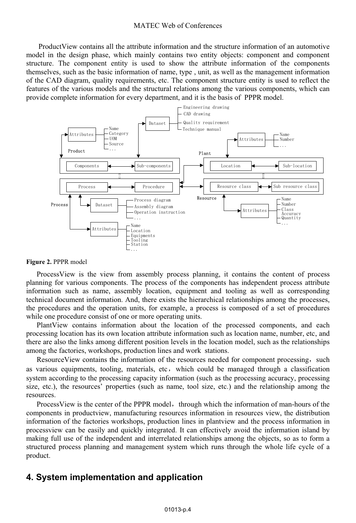#### MATEC Web of Conferences

 ProductView contains all the attribute information and the structure information of an automotive model in the design phase, which mainly contains two entity objects: component and component structure. The component entity is used to show the attribute information of the components themselves, such as the basic information of name, type , unit, as well as the management information of the CAD diagram, quality requirements, etc. The component structure entity is used to reflect the features of the various models and the structural relations among the various components, which can provide complete information for every department, and it is the basis of PPPR model.



#### **Figure 2.** PPPR model

ProcessView is the view from assembly process planning, it contains the content of process planning for various components. The process of the components has independent process attribute information such as name, assembly location, equipment and tooling as well as corresponding technical document information. And, there exists the hierarchical relationships among the processes, the procedures and the operation units, for example, a process is composed of a set of procedures while one procedure consist of one or more operating units.

PlantView contains information about the location of the processed components, and each processing location has its own location attribute information such as location name, number, etc, and there are also the links among different position levels in the location model, such as the relationships among the factories, workshops, production lines and work stations.

ResourceView contains the information of the resources needed for component processing, such as various equipments, tooling, materials, etc, which could be managed through a classification system according to the processing capacity information (such as the processing accuracy, processing size, etc.), the resources' properties (such as name, tool size, etc.) and the relationship among the resources.

Process View is the center of the PPPR model, through which the information of man-hours of the components in productview, manufacturing resources information in resources view, the distribution information of the factories workshops, production lines in plantview and the process information in processview can be easily and quickly integrated. It can effectively avoid the information island by making full use of the independent and interrelated relationships among the objects, so as to form a structured process planning and management system which runs through the whole life cycle of a product.

### **4. System implementation and application**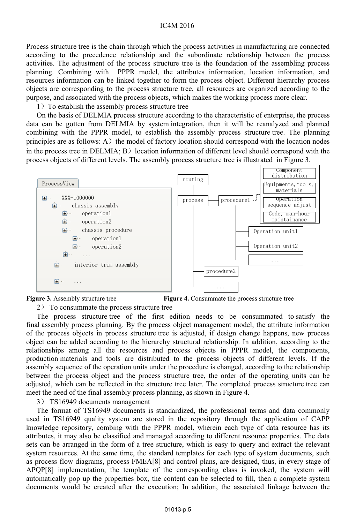#### IC4M 2016

Process structure tree is the chain through which the process activities in manufacturing are connected according to the precedence relationship and the subordinate relationship between the process activities. The adjustment of the process structure tree is the foundation of the assembling process planning. Combining with PPPR model, the attributes information, location information, and resources information can be linked together to form the process object. Different hierarchy process objects are corresponding to the process structure tree, all resources are organized according to the purpose, and associated with the process objects, which makes the working process more clear.

1) To establish the assembly process structure tree

On the basis of DELMIA process structure according to the characteristic of enterprise, the process data can be gotten from DELMIA by system integration, then it will be reanalyzed and planned combining with the PPPR model, to establish the assembly process structure tree. The planning principles are as follows:  $A$ ) the model of factory location should correspond with the location nodes in the process tree in  $DELMA$ ;  $B)$  location information of different level should correspond with the process objects of different levels. The assembly process structure tree is illustrated in Figure 3.





**Figure 3.** Assembly structure tree **Figure 4.** Consummate the process structure tree

2) To consummate the process structure tree

The process structure tree of the first edition needs to be consummated to satisfy the final assembly process planning. By the process object management model, the attribute information of the process objects in process structure tree is adjusted, if design change happens, new process object can be added according to the hierarchy structural relationship. In addition, according to the relationships among all the resources and process objects in PPPR model, the components, production materials and tools are distributed to the process objects of different levels. If the assembly sequence of the operation units under the procedure is changed, according to the relationship between the process object and the process structure tree, the order of the operating units can be adjusted, which can be reflected in the structure tree later. The completed process structure tree can meet the need of the final assembly process planning, as shown in Figure 4.

3) TS16949 documents management

The format of TS16949 documents is standardized, the professional terms and data commonly used in TS16949 quality system are stored in the repository through the application of CAPP knowledge repository, combing with the PPPR model, wherein each type of data resource has its attributes, it may also be classified and managed according to different resource properties. The data sets can be arranged in the form of a tree structure, which is easy to query and extract the relevant system resources. At the same time, the standard templates for each type of system documents, such as process flow diagrams, process FMEA[8] and control plans, are designed, thus, in every stage of APQP[8] implementation, the template of the corresponding class is invoked, the system will automatically pop up the properties box, the content can be selected to fill, then a complete system documents would be created after the execution; In addition, the associated linkage between the